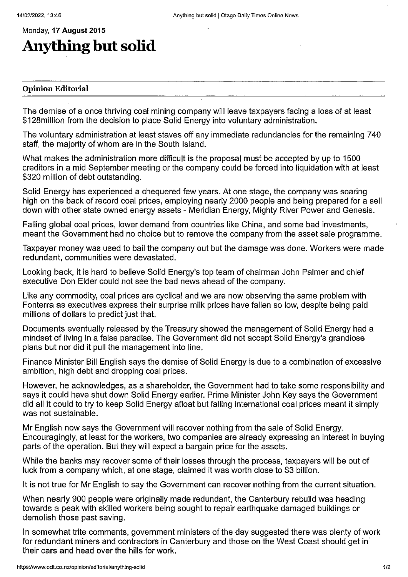## Monday, 17 August 2015 Anything but solid

## Opinion Editorial

The demise of a once thriving coal mining company will leave taxpayers facing a loss of at least \$128million from the decision to place Solid Energy into voluntary administration.

The voluntary administration at least staves off any immediate redundancies for the remaining 740 staff, the majority of whom are in the South Island.

What makes the administration more difficult is the proposal must be accepted by up to 1500 creditors in a mid September meeting or the company could be forced into liquidation with at least \$320 million of debt outstanding.

Solid Energy has experienced a chequered few years. At one stage, the company was soaring high on the back of record coal prices, employing nearly 2000 people and being prepared for a sell down with other state owned energy assets - Meridian Energy, Mighty River Power and Genesis.

Falling global coal prices, lower demand from countries like China, and some bad investments, meant the Government had no choice but to remove the company from the asset sale programme.

Taxpayer money was used to bail the company out but the damage was done. Workers were made redundant, communities were devastated.

Looking back, it is hard to believe Solid Energy's top team of chairman John Palmer and chief executive Don Elder could not see the bad news ahead of the company.

Like any commodity, coal prices are cyclical and we are now observing the same problem with Fonterra as executives express their surprise milk prices have fallen so low, despite being paid millions of dollars to predict just that.

Documents eventually released by the Treasury showed the management of Solid Energy had a mindset of living in a false paradise. The Government did not accept Solid Energy's grandiose plans but nor did it pull the management into line.

Finance Minister Bill English says the demise of Solid Energy is due to a combination of excessive ambition, high debt and dropping coal prices.

However, he acknowledges, as a shareholder, the Government had to take some responsibility and says it could have shut down Solid Energy earlier. Prime Minister John Key says the Government did all it could to try to keep Solid Energy afloat but falling international coal prices meant it simply was not sustainable.

Mr English now says the Government will recover nothing from the sale of Solid Energy. Encouragingly, at least for the workers, two companies are already expressing an interest in buying parts of the operation. But they will expect a bargain price for the assets.

While the banks may recover some of their losses through the process, taxpayers will be out of luck from a company which, at one stage, claimed it was worth close to \$3 billion.

it is not true for Mr English to say the Government can recover nothing from the current situation.

When nearly 900 people were originally made redundant, the Canterbury rebuild was heading towards a peak with skilled workers being sought to repair earthquake damaged buildings or demolish those past saving.

in somewhat trite comments, government ministers of the day suggested there was plenty of work for redundant miners and contractors in Canterbury and those on the West Coast should get in their cars and head over the hills for work.